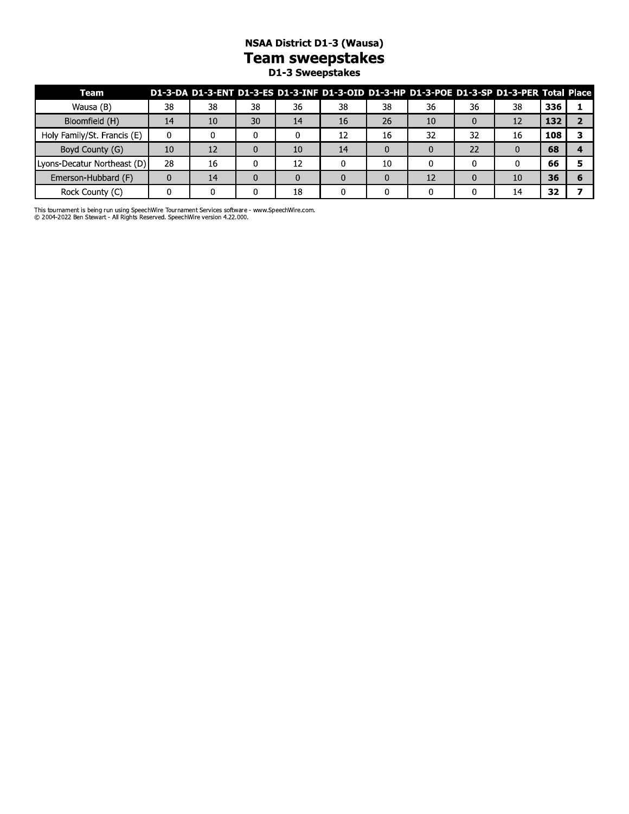#### **NSAA District D1-3 (Wausa)** Team sweepstakes D1-3 Sweepstakes

| Team                        |    |    |    |    |    |    | D1-3-DA D1-3-ENT D1-3-ES D1-3-INF D1-3-OID D1-3-HP D1-3-POE D1-3-SP D1-3-PER Total Place |          |    |     |  |
|-----------------------------|----|----|----|----|----|----|------------------------------------------------------------------------------------------|----------|----|-----|--|
| Wausa (B)                   | 38 | 38 | 38 | 36 | 38 | 38 | 36                                                                                       | 36       | 38 | 336 |  |
| Bloomfield (H)              | 14 | 10 | 30 | 14 | 16 | 26 | 10                                                                                       | $\Omega$ | 12 | 132 |  |
| Holy Family/St. Francis (E) |    |    |    |    | 12 | 16 | 32                                                                                       | 32       | 16 | 108 |  |
| Boyd County (G)             | 10 | 12 | 0  | 10 | 14 |    |                                                                                          | 22       |    | 68  |  |
| Lyons-Decatur Northeast (D) | 28 | 16 |    | 12 |    | 10 |                                                                                          |          |    | 66  |  |
| Emerson-Hubbard (F)         |    | 14 | 0  |    |    |    | 12                                                                                       |          | 10 | 36  |  |
| Rock County (C)             |    |    |    | 18 |    |    |                                                                                          |          | 14 | 32  |  |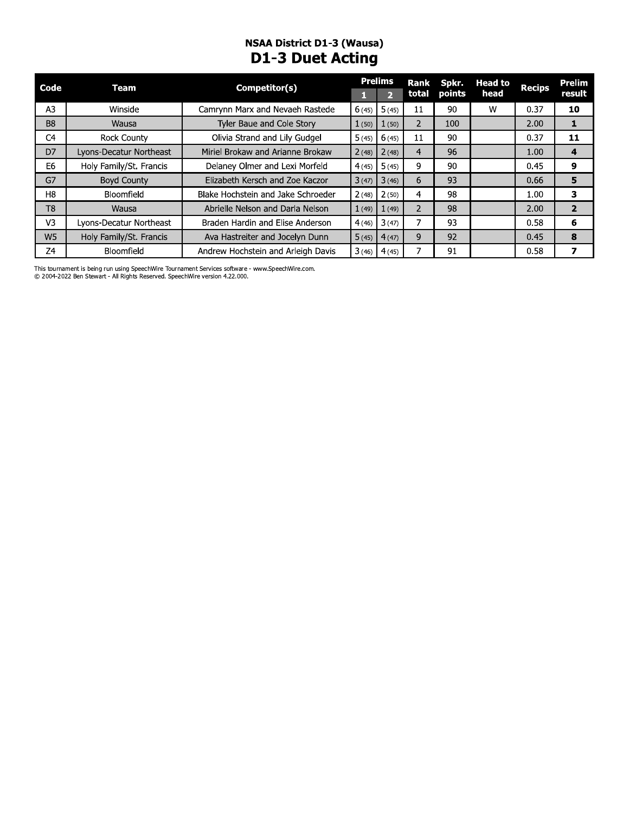#### NSAA DIStrict D1-3 (Wausa) D1-3 DUET ACTING

| Code           | <b>Team</b>                                                                 | Competitor(s)                                                                                    | 1     | <b>Prelims</b><br>$\overline{2}$ | Rank<br>total  | Spkr.<br>points | <b>Head to</b><br>head | <b>Recips</b> | Prelim<br>result |
|----------------|-----------------------------------------------------------------------------|--------------------------------------------------------------------------------------------------|-------|----------------------------------|----------------|-----------------|------------------------|---------------|------------------|
| A <sub>3</sub> | Winside                                                                     | Camrynn Marx and Nevaeh Rastede                                                                  | 6(45) | 5(45)                            | 11             | 90              | W                      | 0.37          | 10               |
| <b>B8</b>      | Wausa                                                                       | <b>Tyler Baue and Cole Story</b>                                                                 | 1(50) | 1(50)                            | $\overline{2}$ | 100             |                        | 2.00          | 1                |
| C <sub>4</sub> | <b>Rock County</b>                                                          | Olivia Strand and Lily Gudgel                                                                    | 5(45) | 6(45)                            | 11             | 90              |                        | 0.37          | 11               |
| D <sub>7</sub> | Lyons-Decatur Northeast                                                     | Miriel Brokaw and Arianne Brokaw                                                                 | 2(48) | 2(48)                            | 4              | 96              |                        | 1.00          | 4                |
| E6             | Holy Family/St. Francis                                                     | Delaney Olmer and Lexi Morfeld                                                                   | 4(45) | 5(45)                            | 9              | 90              |                        | 0.45          | 9                |
| G7             | <b>Boyd County</b>                                                          | Elizabeth Kersch and Zoe Kaczor                                                                  | 3(47) | 3(46)                            | 6              | 93              |                        | 0.66          | 5                |
| H <sub>8</sub> | Bloomfield                                                                  | Blake Hochstein and Jake Schroeder                                                               | 2(48) | 2(50)                            | 4              | 98              |                        | 1.00          | 3                |
| T <sub>8</sub> | Wausa                                                                       | Abrielle Nelson and Darla Nelson                                                                 | 1(49) | 1(49)                            | $\overline{2}$ | 98              |                        | 2.00          | $\overline{2}$   |
| V <sub>3</sub> | Lyons-Decatur Northeast                                                     | Braden Hardin and Elise Anderson                                                                 | 4(46) | 3(47)                            | 7              | 93              |                        | 0.58          | 6                |
| W <sub>5</sub> | Holy Family/St. Francis                                                     | Ava Hastreiter and Jocelyn Dunn                                                                  | 5(45) | 4(47)                            | 9              | 92              |                        | 0.45          | 8                |
| Z4             | Bloomfield                                                                  | Andrew Hochstein and Arleigh Davis                                                               | 3(46) | 4(45)                            | 7              | 91              |                        | 0.58          | 7                |
|                | © 2004-2022 Ben Stewart - All Rights Reserved. SpeechWire version 4.22.000. | This tournament is being run using SpeechWire Tournament Services software - www.SpeechWire.com. |       |                                  |                |                 |                        |               |                  |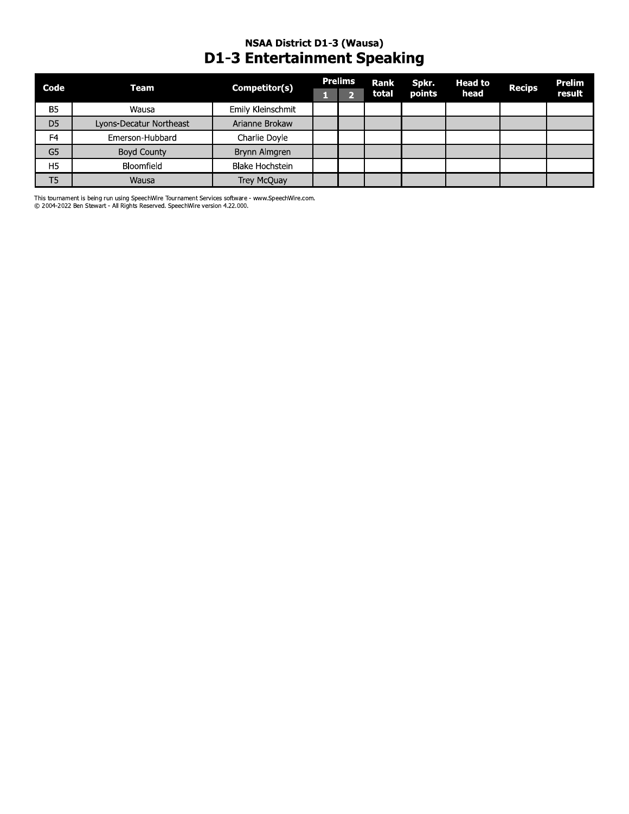# NSAA District D1-3 (Wausa)<br>D1-3 Entertainment Speaking

| Code           | Team                    | Competitor(s)          | <b>Prelims</b> | Rank  | Spkr.  | <b>Head to</b> | <b>Recips</b> | Prelim |
|----------------|-------------------------|------------------------|----------------|-------|--------|----------------|---------------|--------|
|                |                         |                        |                | total | points | head           |               | result |
| <b>B5</b>      | Wausa                   | Emily Kleinschmit      |                |       |        |                |               |        |
| D <sub>5</sub> | Lyons-Decatur Northeast | Arianne Brokaw         |                |       |        |                |               |        |
| F <sub>4</sub> | Emerson-Hubbard         | Charlie Doyle          |                |       |        |                |               |        |
| G <sub>5</sub> | <b>Boyd County</b>      | Brynn Almgren          |                |       |        |                |               |        |
| H <sub>5</sub> | Bloomfield              | <b>Blake Hochstein</b> |                |       |        |                |               |        |
| T <sub>5</sub> | Wausa                   | Trey McQuay            |                |       |        |                |               |        |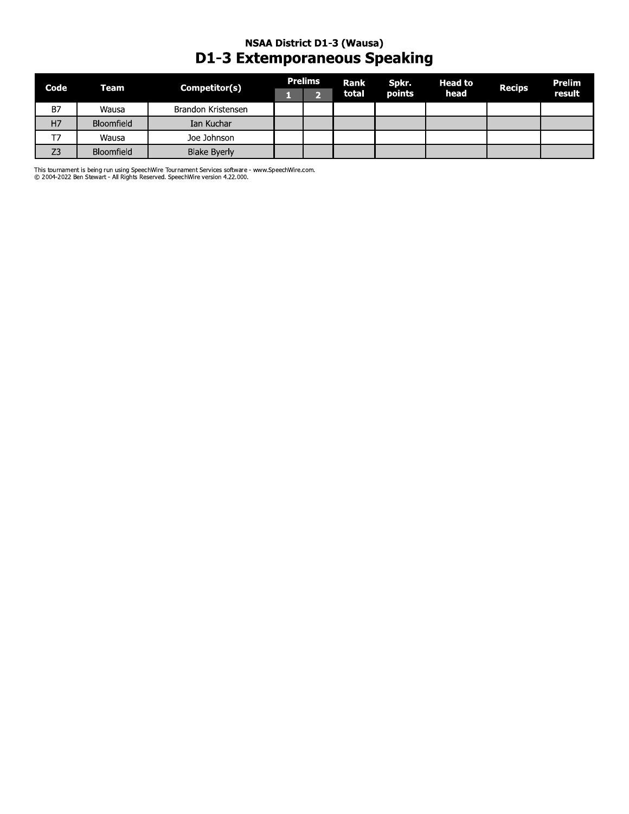#### **NSAA District D1-3 (Wausa) D1-3 Extemporaneous Speaking**

| Code           | Team       | Competitor(s)       | <b>Prelims</b> | Rank  | Spkr.  | <b>Head to</b> | <b>Recips</b> | Prelim |
|----------------|------------|---------------------|----------------|-------|--------|----------------|---------------|--------|
|                |            |                     |                | total | points | head           |               | result |
| B7             | Wausa      | Brandon Kristensen  |                |       |        |                |               |        |
| H <sub>7</sub> | Bloomfield | Ian Kuchar          |                |       |        |                |               |        |
| <b>T7</b>      | Wausa      | Joe Johnson         |                |       |        |                |               |        |
| Z <sub>3</sub> | Bloomfield | <b>Blake Byerly</b> |                |       |        |                |               |        |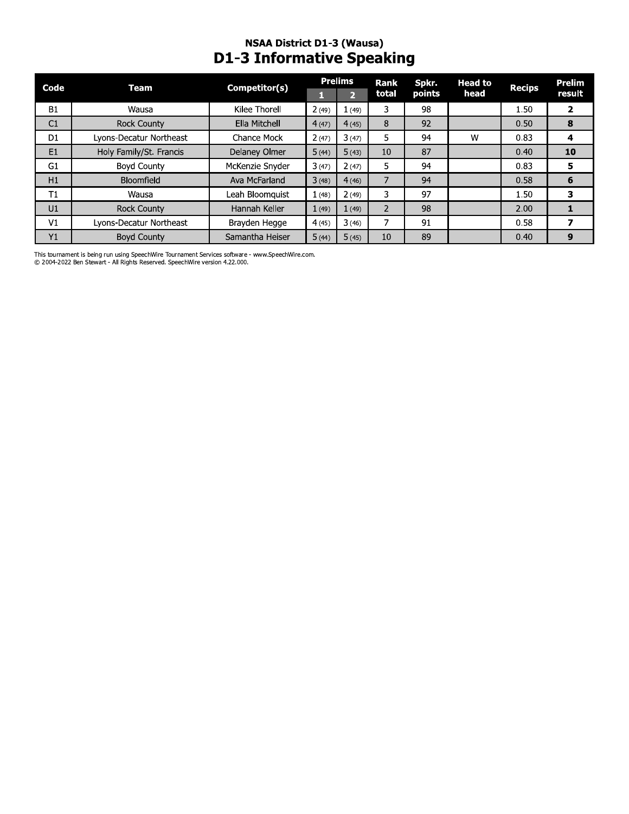# NSAA District D1-3 (Wausa)<br>D1-3 Informative Speaking

| Code           | Team                    | Competitor(s)   |       | <b>Prelims</b> | <b>Rank</b>     | Spkr.  | <b>Head to</b> | <b>Recips</b> | <b>Prelim</b>           |
|----------------|-------------------------|-----------------|-------|----------------|-----------------|--------|----------------|---------------|-------------------------|
|                |                         |                 |       | 2              | total           | points | head           |               | result                  |
| <b>B1</b>      | Wausa                   | Kilee Thorell   | 2(49) | 1(49)          | 3               | 98     |                | 1.50          | $\overline{\mathbf{2}}$ |
| C <sub>1</sub> | <b>Rock County</b>      | Ella Mitchell   | 4(47) | 4(45)          | 8               | 92     |                | 0.50          | 8                       |
| D <sub>1</sub> | Lyons-Decatur Northeast | Chance Mock     | 2(47) | 3(47)          | 5.              | 94     | W              | 0.83          | 4                       |
| E1             | Holy Family/St. Francis | Delaney Olmer   | 5(44) | 5(43)          | 10 <sup>°</sup> | 87     |                | 0.40          | 10                      |
| G1             | <b>Boyd County</b>      | McKenzie Snyder | 3(47) | 2(47)          | 5.              | 94     |                | 0.83          | 5                       |
| H1             | <b>Bloomfield</b>       | Ava McFarland   | 3(48) | 4(46)          |                 | 94     |                | 0.58          | 6                       |
| T1             | Wausa                   | Leah Bloomquist | 1(48) | 2(49)          | 3               | 97     |                | 1.50          | 3                       |
| U1             | <b>Rock County</b>      | Hannah Keller   | 1(49) | 1(49)          | 2               | 98     |                | 2.00          |                         |
| V <sub>1</sub> | Lyons-Decatur Northeast | Brayden Hegge   | 4(45) | 3(46)          |                 | 91     |                | 0.58          | 7                       |
| Y1             | <b>Boyd County</b>      | Samantha Heiser | 5(44) | 5(45)          | 10              | 89     |                | 0.40          | 9                       |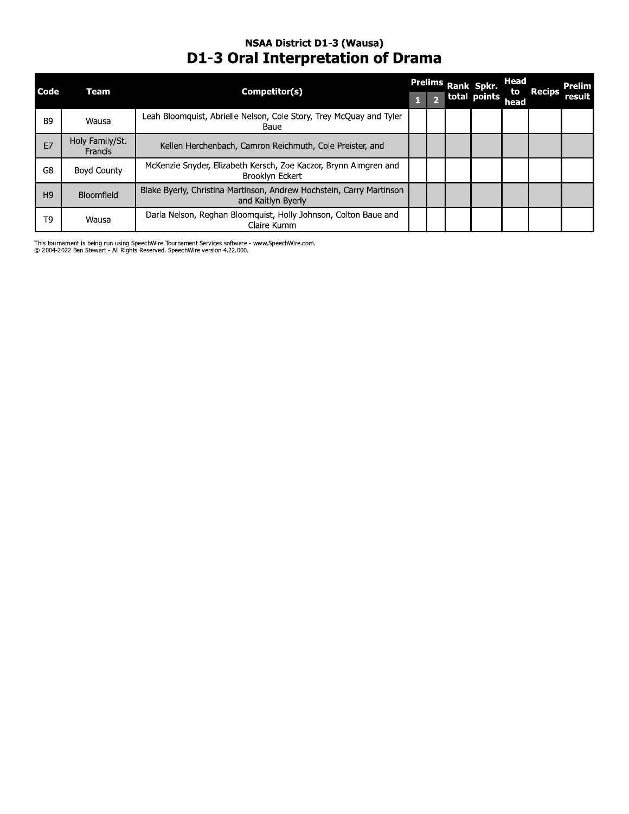#### **NSAA District D1-3 (Wausa) D1-3 Oral Interpretation of Drama**

| <b>Code</b>    | Team                       | Competitor(s)                                                                              |   | Prelims Rank Spkr. | Head<br>to | <b>Recips</b> | <b>Prelim</b> |
|----------------|----------------------------|--------------------------------------------------------------------------------------------|---|--------------------|------------|---------------|---------------|
|                |                            |                                                                                            | 5 | total points       | head       |               | result        |
| B <sub>9</sub> | Wausa                      | Leah Bloomquist, Abrielle Nelson, Cole Story, Trey McQuay and Tyler<br>Baue                |   |                    |            |               |               |
| F7             | Holy Family/St.<br>Francis | Kellen Herchenbach, Camron Reichmuth, Cole Preister, and                                   |   |                    |            |               |               |
| G8             | <b>Boyd County</b>         | McKenzie Snyder, Elizabeth Kersch, Zoe Kaczor, Brynn Almgren and<br><b>Brooklyn Eckert</b> |   |                    |            |               |               |
| H <sub>9</sub> | Bloomfield                 | Blake Byerly, Christina Martinson, Andrew Hochstein, Carry Martinson<br>and Kaitlyn Byerly |   |                    |            |               |               |
| T <sub>9</sub> | Wausa                      | Darla Nelson, Reghan Bloomquist, Holly Johnson, Colton Baue and<br>Claire Kumm             |   |                    |            |               |               |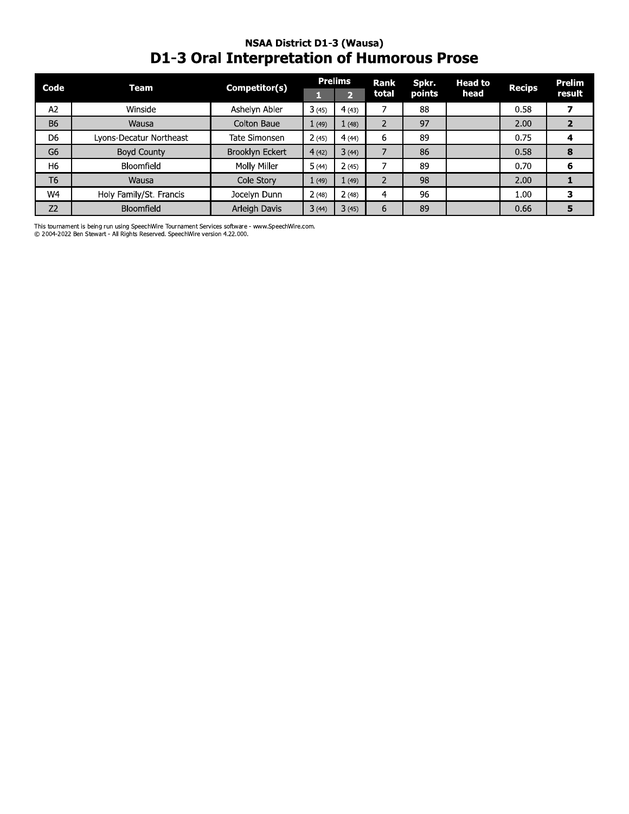# NSAA District D1-3 (Wausa)<br>D1-3 Oral Interpretation of Humorous Prose

| Code           | Team                    | Competitor(s)   |       | <b>Prelims</b> | Rank  | Spkr.  | <b>Head to</b> | <b>Recips</b> | Prelim |
|----------------|-------------------------|-----------------|-------|----------------|-------|--------|----------------|---------------|--------|
|                |                         |                 |       | 2              | total | points | head           |               | result |
| A <sub>2</sub> | Winside                 | Ashelyn Abler   | 3(45) | 4(43)          |       | 88     |                | 0.58          |        |
| <b>B6</b>      | Wausa                   | Colton Baue     | 1(49) | 1(48)          |       | 97     |                | 2.00          |        |
| D <sub>6</sub> | Lyons-Decatur Northeast | Tate Simonsen   | 2(45) | 4(44)          | 6     | 89     |                | 0.75          |        |
| G6             | <b>Boyd County</b>      | Brooklyn Eckert | 4(42) | 3(44)          |       | 86     |                | 0.58          | 8      |
| H <sub>6</sub> | Bloomfield              | Molly Miller    | 5(44) | 2(45)          |       | 89     |                | 0.70          | 6      |
| T <sub>6</sub> | Wausa                   | Cole Story      | 1(49) | 1(49)          |       | 98     |                | 2.00          |        |
| W4             | Holy Family/St. Francis | Jocelyn Dunn    | 2(48) | 2(48)          | 4     | 96     |                | 1.00          | 3      |
| Z <sub>2</sub> | <b>Bloomfield</b>       | Arleigh Davis   | 3(44) | 3(45)          | 6     | 89     |                | 0.66          | 5      |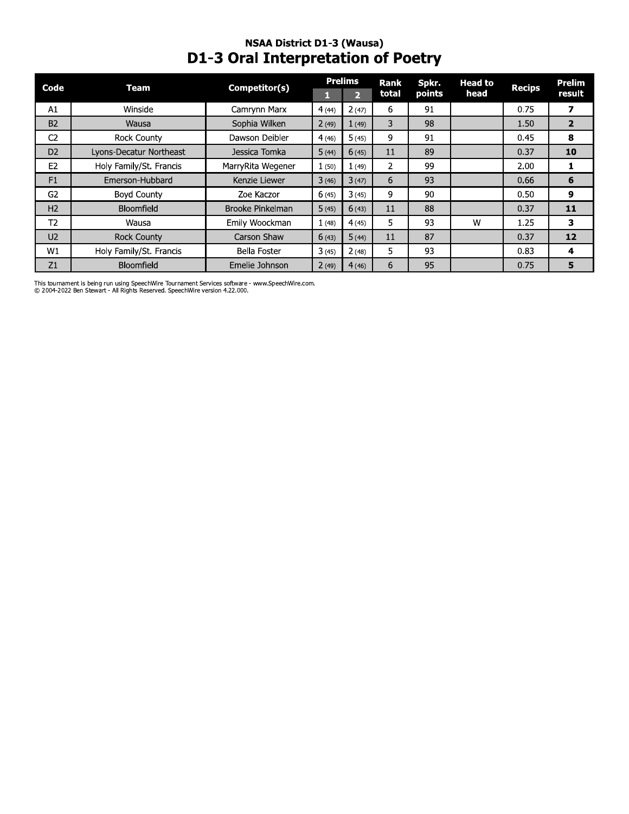### NSAA District D1-3 (Wausa)<br>D1-3 Oral Interpretation of Poetry

| Code           | Team                    | Competitor(s)     |       | <b>Prelims</b>          | <b>Rank</b> | Spkr.  | <b>Head to</b> | <b>Recips</b> | Prelim         |
|----------------|-------------------------|-------------------|-------|-------------------------|-------------|--------|----------------|---------------|----------------|
|                |                         |                   |       | $\overline{\mathbf{2}}$ | total       | points | head           |               | result         |
| A1             | Winside                 | Camrynn Marx      | 4(44) | 2(47)                   | 6           | 91     |                | 0.75          | 7              |
| <b>B2</b>      | Wausa                   | Sophia Wilken     | 2(49) | 1(49)                   | 3           | 98     |                | 1.50          | $\overline{2}$ |
| C <sub>2</sub> | <b>Rock County</b>      | Dawson Deibler    | 4(46) | 5(45)                   | 9           | 91     |                | 0.45          | 8              |
| D <sub>2</sub> | Lyons-Decatur Northeast | Jessica Tomka     | 5(44) | 6(45)                   | 11          | 89     |                | 0.37          | 10             |
| E <sub>2</sub> | Holy Family/St. Francis | MarryRita Wegener | 1(50) | 1(49)                   | 2           | 99     |                | 2.00          |                |
| F1             | Emerson-Hubbard         | Kenzie Liewer     | 3(46) | 3(47)                   | 6           | 93     |                | 0.66          | 6              |
| G2             | <b>Boyd County</b>      | Zoe Kaczor        | 6(45) | 3(45)                   | 9           | 90     |                | 0.50          | 9              |
| H <sub>2</sub> | <b>Bloomfield</b>       | Brooke Pinkelman  | 5(45) | 6(43)                   | 11          | 88     |                | 0.37          | 11             |
| T2             | Wausa                   | Emily Woockman    | 1(48) | 4(45)                   | 5           | 93     | W              | 1.25          | 3.             |
| U <sub>2</sub> | <b>Rock County</b>      | Carson Shaw       | 6(43) | 5(44)                   | 11          | 87     |                | 0.37          | 12             |
| W1             | Holy Family/St. Francis | Bella Foster      | 3(45) | 2(48)                   | 5.          | 93     |                | 0.83          | 4              |
| Z1             | <b>Bloomfield</b>       | Emelie Johnson    | 2(49) | 4(46)                   | 6           | 95     |                | 0.75          | 5              |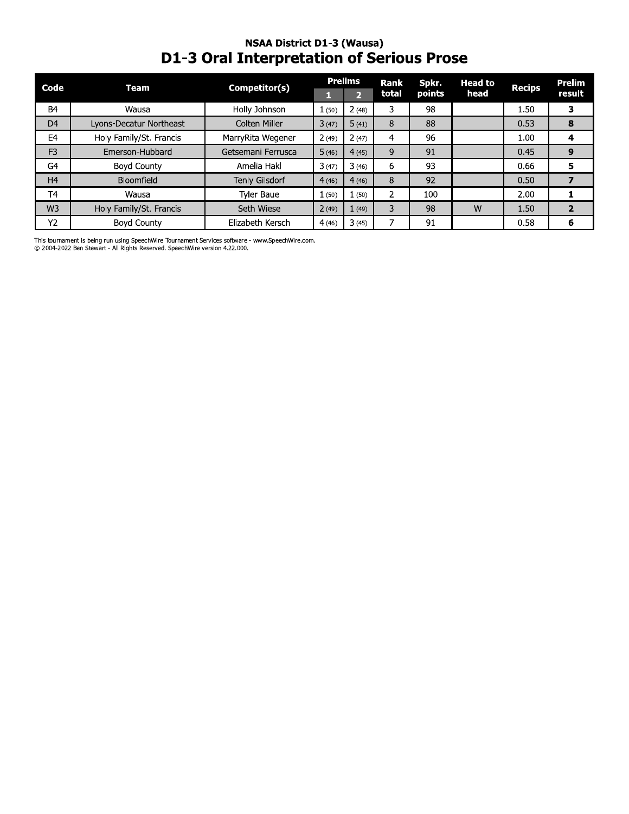#### NSAA DIStrict D1-3 (Wausa) D1-3 Oral Interpretation of Serious Prose

| Code           | Team                    | Competitor(s)        |       | <b>Prelims</b> | Rank  | Spkr.  | <b>Head to</b> | <b>Recips</b> | Prelim         |
|----------------|-------------------------|----------------------|-------|----------------|-------|--------|----------------|---------------|----------------|
|                |                         |                      | п     | $\overline{2}$ | total | points | head           |               | result         |
| B <sub>4</sub> | Wausa                   | Holly Johnson        | 1(50) | 2(48)          | 3     | 98     |                | 1.50          | 3              |
| D <sub>4</sub> | Lyons-Decatur Northeast | <b>Colten Miller</b> | 3(47) | 5(41)          | 8     | 88     |                | 0.53          | 8              |
| E <sub>4</sub> | Holy Family/St. Francis | MarryRita Wegener    | 2(49) | 2(47)          | 4     | 96     |                | 1.00          | 4              |
| F <sub>3</sub> | Emerson-Hubbard         | Getsemani Ferrusca   | 5(46) | 4(45)          | 9     | 91     |                | 0.45          | 9              |
| G4             | Boyd County             | Amelia Hakl          | 3(47) | 3(46)          | 6     | 93     |                | 0.66          | 5              |
| H <sub>4</sub> | <b>Bloomfield</b>       | Tenly Gilsdorf       | 4(46) | 4(46)          | 8     | 92     |                | 0.50          | $\overline{ }$ |
| T <sub>4</sub> | Wausa                   | <b>Tyler Baue</b>    | 1(50) | 1(50)          | 2     | 100    |                | 2.00          | 1              |
| W <sub>3</sub> | Holy Family/St. Francis | Seth Wiese           | 2(49) | 1(49)          | 3     | 98     | W              | 1.50          | $\overline{2}$ |
| Y2             | <b>Boyd County</b>      | Elizabeth Kersch     | 4(46) | 3(45)          | 7     | 91     |                | 0.58          | 6              |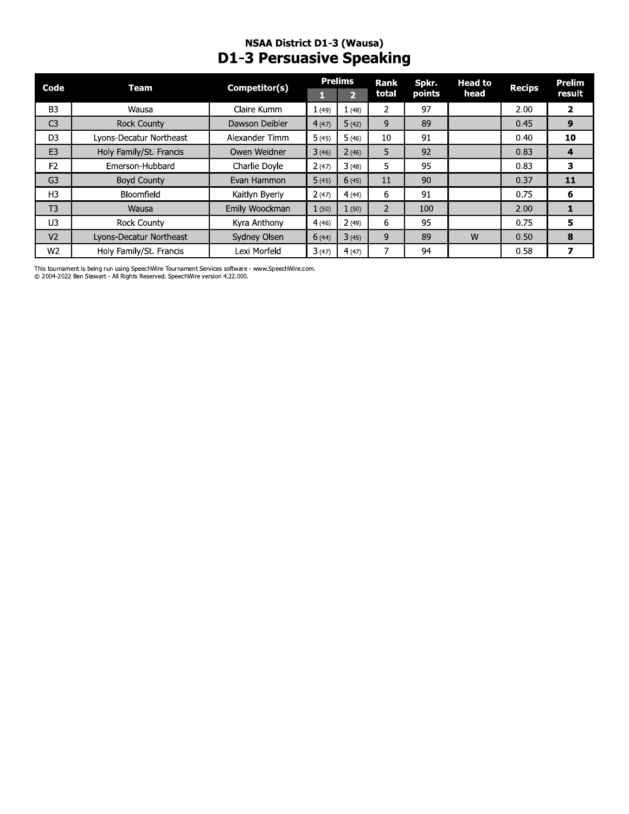#### NSAA DIStrict D1-3 (Wausa) D1-3 Persuasive Speaking

| Code           | <b>Team</b>             | Competitor(s)  | п     | <b>Prelims</b><br>$\overline{2}$ | <b>Rank</b><br>total | Spkr.<br>points | <b>Head to</b><br>head | <b>Recips</b> | Prelim<br>result |
|----------------|-------------------------|----------------|-------|----------------------------------|----------------------|-----------------|------------------------|---------------|------------------|
| B <sub>3</sub> | Wausa                   | Claire Kumm    | 1(49) | 1(48)                            | $\overline{2}$       | 97              |                        | 2.00          | $\mathbf{2}$     |
| C <sub>3</sub> | <b>Rock County</b>      | Dawson Deibler | 4(47) | 5(42)                            | 9                    | 89              |                        | 0.45          | 9                |
| D <sub>3</sub> | Lyons-Decatur Northeast | Alexander Timm | 5(45) | 5(46)                            | 10                   | 91              |                        | 0.40          | 10               |
| E <sub>3</sub> | Holy Family/St. Francis | Owen Weidner   | 3(46) | 2(46)                            | 5                    | 92              |                        | 0.83          | 4                |
| F <sub>2</sub> | Emerson-Hubbard         | Charlie Dovle  | 2(47) | 3(48)                            | 5                    | 95              |                        | 0.83          | 3                |
| G <sub>3</sub> | <b>Boyd County</b>      | Evan Hammon    | 5(45) | 6(45)                            | 11                   | 90              |                        | 0.37          | 11               |
| H <sub>3</sub> | Bloomfield              | Kaitlyn Byerly | 2(47) | 4(44)                            | 6                    | 91              |                        | 0.75          | 6                |
| T <sub>3</sub> | Wausa                   | Emily Woockman | 1(50) | 1(50)                            | $\overline{2}$       | 100             |                        | 2.00          | $\mathbf{1}$     |
| U3             | <b>Rock County</b>      | Kyra Anthony   | 4(46) | 2(49)                            | 6                    | 95              |                        | 0.75          | 5                |
| V <sub>2</sub> | Lyons-Decatur Northeast | Sydney Olsen   | 6(44) | 3(45)                            | 9                    | 89              | W                      | 0.50          | 8                |
| W <sub>2</sub> | Holy Family/St. Francis | Lexi Morfeld   | 3(47) | 4(47)                            | 7                    | 94              |                        | 0.58          | $\overline{ }$   |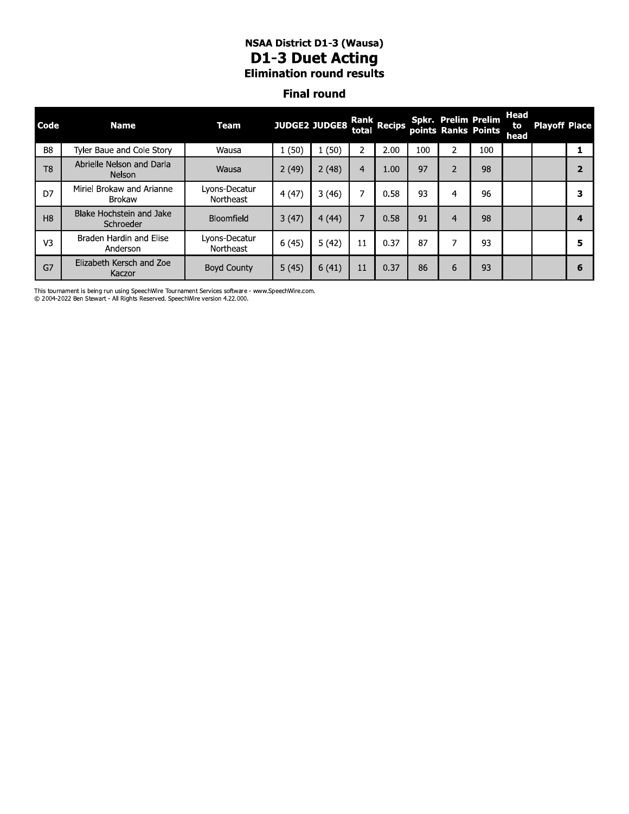#### NSAA DIStrict D1-3 (Wausa) D1-3 Duet Acting **Elimination round results**

#### **Final round**

|                | <b>NSAA District D1-3 (Wausa)</b><br><b>D1-3 Duet Acting</b><br><b>Elimination round results</b> |                            |                      |                    |                |             |     |                |                                                   |                    |                      |                |
|----------------|--------------------------------------------------------------------------------------------------|----------------------------|----------------------|--------------------|----------------|-------------|-----|----------------|---------------------------------------------------|--------------------|----------------------|----------------|
|                |                                                                                                  |                            |                      | <b>Final round</b> |                |             |     |                |                                                   |                    |                      |                |
| Code           | <b>Name</b>                                                                                      | Team                       | <b>JUDGE2 JUDGE8</b> |                    | total          | Rank Recips |     |                | <b>Spkr. Prelim Prelim</b><br>points Ranks Points | Head<br>to<br>head | <b>Playoff Place</b> |                |
| B <sub>8</sub> | Tyler Baue and Cole Story                                                                        | Wausa                      | 1(50)                | 1(50)              | $\overline{2}$ | 2.00        | 100 | 2              | 100                                               |                    |                      | 1              |
| T <sub>8</sub> | Abrielle Nelson and Darla<br><b>Nelson</b>                                                       | Wausa                      | 2(49)                | 2(48)              | $\overline{4}$ | 1.00        | 97  | $\overline{2}$ | 98                                                |                    |                      | $\overline{2}$ |
| D7             | Miriel Brokaw and Arianne<br><b>Brokaw</b>                                                       | Lyons-Decatur<br>Northeast | 4(47)                | 3(46)              | 7              | 0.58        | 93  | 4              | 96                                                |                    |                      | 3              |
| H <sub>8</sub> | Blake Hochstein and Jake<br>Schroeder                                                            | <b>Bloomfield</b>          | 3(47)                | 4(44)              | $\overline{7}$ | 0.58        | 91  | $\overline{4}$ | 98                                                |                    |                      | 4              |
| V <sub>3</sub> | Braden Hardin and Elise<br>Anderson                                                              | Lyons-Decatur<br>Northeast | 6(45)                | 5(42)              | 11             | 0.37        | 87  | $\overline{7}$ | 93                                                |                    |                      | 5              |
| G7             | Elizabeth Kersch and Zoe<br>Kaczor                                                               | <b>Boyd County</b>         | 5(45)                | 6(41)              | 11             | 0.37        | 86  | 6              | 93                                                |                    |                      | 6              |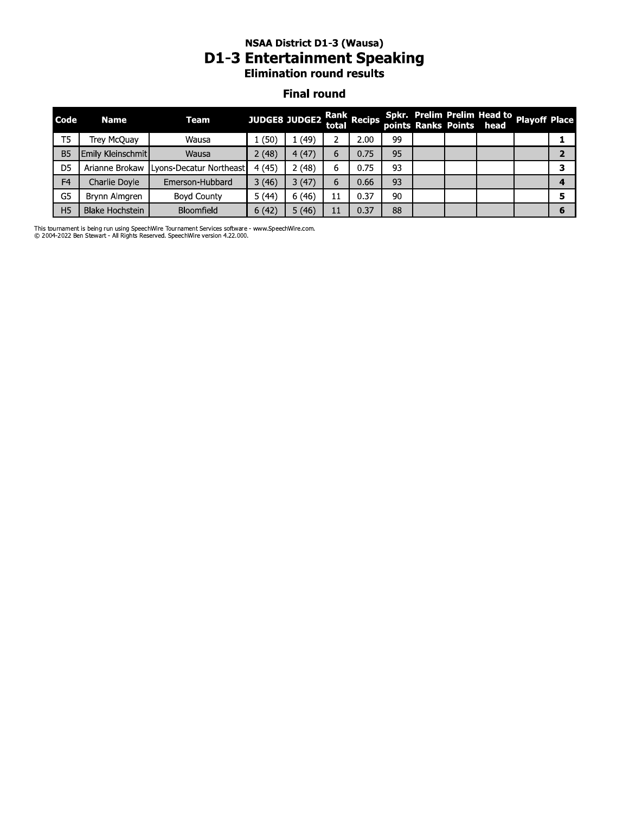#### NSAA DIStrict D1-3 (Wausa) D1-3 Entertainment Speaking **Elimination round results**

#### **Final round**

|                | <b>NSAA District D1-3 (Wausa)</b><br><b>D1-3 Entertainment Speaking</b><br><b>Elimination round results</b> |                         |                           |                    |    |      |    |  |  |                                                                       |                |
|----------------|-------------------------------------------------------------------------------------------------------------|-------------------------|---------------------------|--------------------|----|------|----|--|--|-----------------------------------------------------------------------|----------------|
|                |                                                                                                             |                         |                           | <b>Final round</b> |    |      |    |  |  |                                                                       |                |
| Code           | <b>Name</b>                                                                                                 | <b>Team</b>             | JUDGE8 JUDGE2 Rank Recips |                    |    |      |    |  |  | Spkr. Prelim Prelim Head to Playoff Place<br>points Ranks Points head |                |
| T <sub>5</sub> | <b>Trey McQuay</b>                                                                                          | Wausa                   | 1(50)                     | 1(49)              |    | 2.00 | 99 |  |  |                                                                       | л.             |
| <b>B5</b>      | Emily Kleinschmit                                                                                           | Wausa                   | 2(48)                     | 4(47)              | 6  | 0.75 | 95 |  |  |                                                                       | $\overline{2}$ |
| D <sub>5</sub> | Arianne Brokaw                                                                                              | Lyons-Decatur Northeast | 4(45)                     | 2(48)              | 6  | 0.75 | 93 |  |  |                                                                       | 3              |
| F <sub>4</sub> | Charlie Doyle                                                                                               | Emerson-Hubbard         | 3(46)                     | 3(47)              | 6  | 0.66 | 93 |  |  |                                                                       | 4              |
| G5             | Brynn Almgren                                                                                               | <b>Boyd County</b>      | 5(44)                     | 6(46)              | 11 | 0.37 | 90 |  |  |                                                                       | 5              |
| H <sub>5</sub> | <b>Blake Hochstein</b>                                                                                      | Bloomfield              | 6(42)                     | 5(46)              | 11 | 0.37 | 88 |  |  |                                                                       | 6              |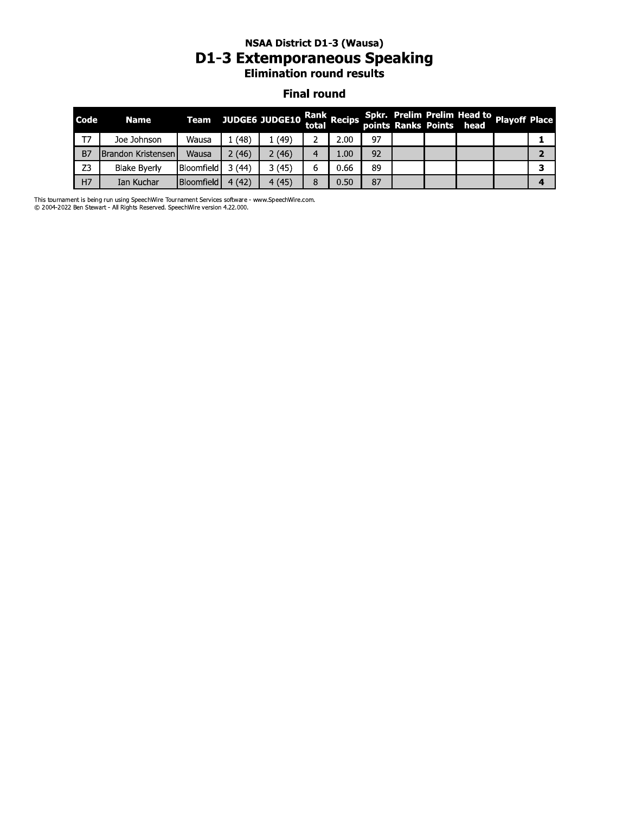#### NSAA DIStrict D1-3 (Wausa) D1-3 Extemporaneous Speaking **Elimination round results**

#### **Final round**

|                | <b>NSAA District D1-3 (Wausa)</b><br><b>D1-3 Extemporaneous Speaking</b><br><b>Elimination round results</b> |             |       |                       |                    |             |    |  |  |                                                                       |  |                |  |
|----------------|--------------------------------------------------------------------------------------------------------------|-------------|-------|-----------------------|--------------------|-------------|----|--|--|-----------------------------------------------------------------------|--|----------------|--|
|                |                                                                                                              |             |       |                       | <b>Final round</b> |             |    |  |  |                                                                       |  |                |  |
| Code           | <b>Name</b>                                                                                                  | <b>Team</b> |       | <b>JUDGE6 JUDGE10</b> | total              | Rank Recips |    |  |  | Spkr. Prelim Prelim Head to Playoff Place<br>points Ranks Points head |  |                |  |
| T7             | Joe Johnson                                                                                                  | Wausa       | 1(48) | 1(49)                 | 2                  | 2.00        | 97 |  |  |                                                                       |  | 1              |  |
| <b>B7</b>      | Brandon Kristensen                                                                                           | Wausa       | 2(46) | 2(46)                 | 4                  | 1.00        | 92 |  |  |                                                                       |  | $\overline{2}$ |  |
| Z <sub>3</sub> | <b>Blake Byerly</b>                                                                                          | Bloomfield  | 3(44) | 3(45)                 | 6                  | 0.66        | 89 |  |  |                                                                       |  | 3              |  |
| H7             | Ian Kuchar                                                                                                   | Bloomfield  | 4(42) | 4(45)                 | 8                  | 0.50        | 87 |  |  |                                                                       |  | 4              |  |
|                | ent is being run using SpeechWire Tournament Services software - www.SpeechWire.com.                         |             |       |                       |                    |             |    |  |  |                                                                       |  |                |  |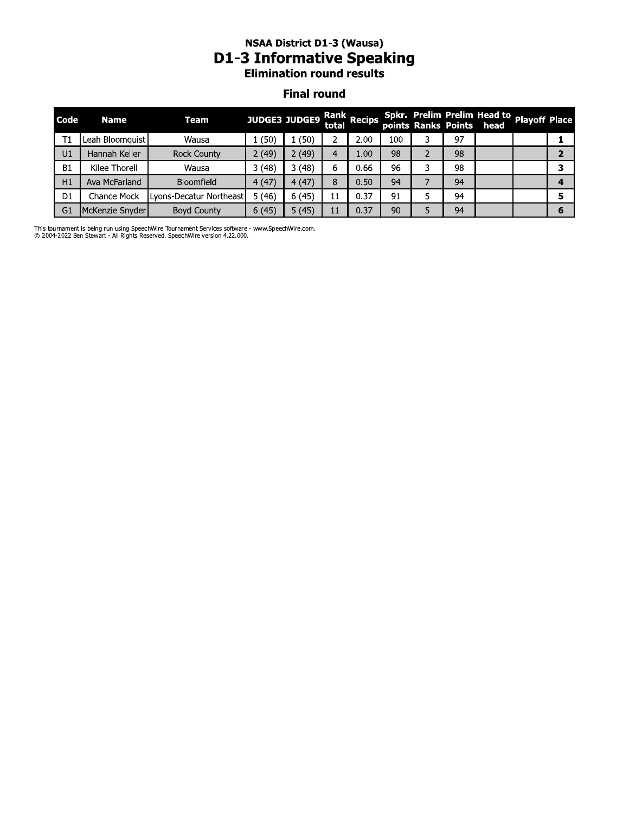# **NSAA District D1-3 (Wausa)**<br>D1-3 Informative Speaking<br>Elimination round results

#### **Final round**

| Code           | <b>Name</b>        | Team                    |       | <b>JUDGE3 JUDGE9</b> |    | Rank<br>total Recips |     |    | Spkr. Prelim Prelim Head to Playoff Place<br>points Ranks Points head |  |
|----------------|--------------------|-------------------------|-------|----------------------|----|----------------------|-----|----|-----------------------------------------------------------------------|--|
| T1             | Leah Bloomquist    | Wausa                   | 1(50) | (50)                 |    | 2.00                 | 100 | 97 |                                                                       |  |
| U1             | Hannah Keller      | <b>Rock County</b>      | 2(49) | 2(49)                | 4  | 1.00                 | 98  | 98 |                                                                       |  |
| B <sub>1</sub> | Kilee Thorell      | Wausa                   | 3(48) | 3(48)                | 6  | 0.66                 | 96  | 98 |                                                                       |  |
| H1             | Ava McFarland      | Bloomfield              | 4(47) | 4(47)                | 8  | 0.50                 | 94  | 94 |                                                                       |  |
| D <sub>1</sub> | <b>Chance Mock</b> | Lyons-Decatur Northeast | 5(46) | 6(45)                | 11 | 0.37                 | 91  | 94 |                                                                       |  |
| G <sub>1</sub> | McKenzie Snyder    | <b>Boyd County</b>      | 6(45) | 5(45)                | 11 | 0.37                 | 90  | 94 |                                                                       |  |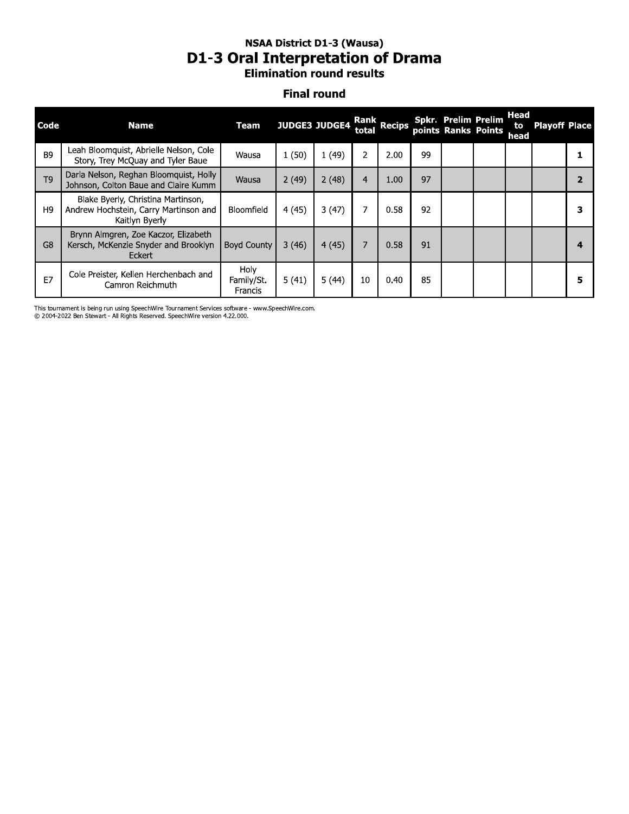### **NSAA District D1-3 (Wausa) D1-3 Oral Interpretation of Drama**<br>Elimination round results

#### **Final round**

| Code           | <b>Name</b>                                                                                   | <b>Team</b>                   | JUDGE3 JUDGE4 |       | total | Rank Recips |    | Spkr. Prelim Prelim<br>points Ranks Points | Head<br>head | to Playoff Place |  |
|----------------|-----------------------------------------------------------------------------------------------|-------------------------------|---------------|-------|-------|-------------|----|--------------------------------------------|--------------|------------------|--|
| <b>B9</b>      | Leah Bloomquist, Abrielle Nelson, Cole<br>Story, Trey McQuay and Tyler Baue                   | Wausa                         | 1(50)         | 1(49) | 2     | 2.00        | 99 |                                            |              |                  |  |
| T <sub>9</sub> | Darla Nelson, Reghan Bloomquist, Holly<br>Johnson, Colton Baue and Claire Kumm                | Wausa                         | 2(49)         | 2(48) | 4     | 1.00        | 97 |                                            |              |                  |  |
| H <sub>9</sub> | Blake Byerly, Christina Martinson,<br>Andrew Hochstein, Carry Martinson and<br>Kaitlyn Byerly | <b>Bloomfield</b>             | 4(45)         | 3(47) | 7     | 0.58        | 92 |                                            |              |                  |  |
| G <sub>8</sub> | Brynn Almgren, Zoe Kaczor, Elizabeth<br>Kersch, McKenzie Snyder and Brooklyn<br>Eckert        | <b>Boyd County</b>            | 3(46)         | 4(45) | 7     | 0.58        | 91 |                                            |              |                  |  |
| E7             | Cole Preister, Kellen Herchenbach and<br>Camron Reichmuth                                     | Holy<br>Family/St.<br>Francis | 5(41)         | 5(44) | 10    | 0.40        | 85 |                                            |              |                  |  |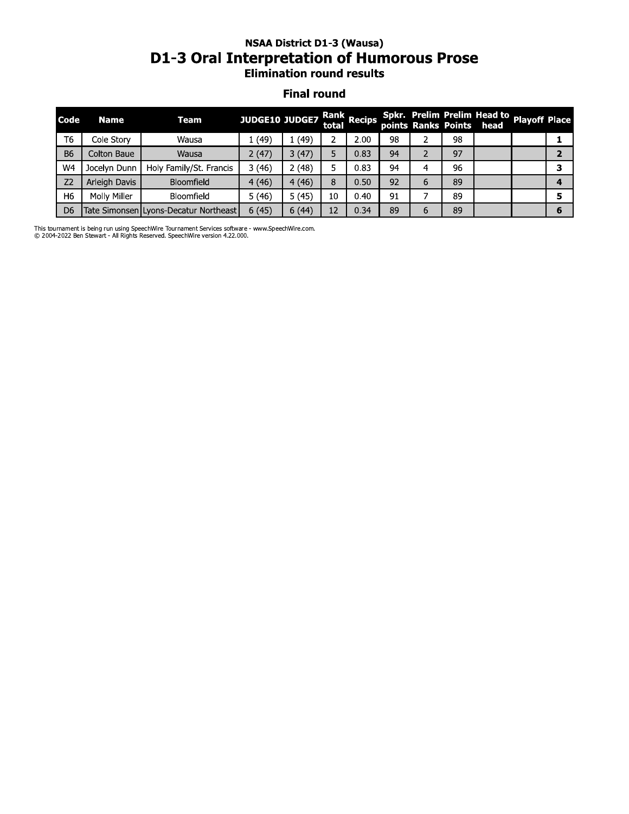#### NSAA DIStrict D1-3 (Wausa) D1-3 Oral Interpretation of Humorous Prose **Elimination round results**

#### **Final round**

|                | <b>NSAA District D1-3 (Wausa)</b><br><b>D1-3 Oral Interpretation of Humorous Prose</b><br><b>Elimination round results</b> |                                       |                       |       |    |                      |    |   |    |                                                                       |  |                |  |
|----------------|----------------------------------------------------------------------------------------------------------------------------|---------------------------------------|-----------------------|-------|----|----------------------|----|---|----|-----------------------------------------------------------------------|--|----------------|--|
|                | <b>Final round</b>                                                                                                         |                                       |                       |       |    |                      |    |   |    |                                                                       |  |                |  |
| Code           | <b>Name</b>                                                                                                                | Team                                  | <b>JUDGE10 JUDGE7</b> |       |    | Rank<br>total Recips |    |   |    | Spkr. Prelim Prelim Head to Playoff Place<br>points Ranks Points head |  |                |  |
| T6             | Cole Story                                                                                                                 | Wausa                                 | 1(49)                 | 1(49) | 2  | 2.00                 | 98 | 2 | 98 |                                                                       |  | 1              |  |
| <b>B6</b>      | Colton Baue                                                                                                                | Wausa                                 | 2(47)                 | 3(47) | 5  | 0.83                 | 94 | 2 | 97 |                                                                       |  | $\overline{2}$ |  |
| W4             | Jocelyn Dunn                                                                                                               | Holy Family/St. Francis               | 3(46)                 | 2(48) | 5  | 0.83                 | 94 | 4 | 96 |                                                                       |  | з              |  |
| Z <sub>2</sub> | Arleigh Davis                                                                                                              | <b>Bloomfield</b>                     | 4(46)                 | 4(46) | 8  | 0.50                 | 92 | 6 | 89 |                                                                       |  | 4              |  |
| H6             | Molly Miller                                                                                                               | <b>Bloomfield</b>                     | 5(46)                 | 5(45) | 10 | 0.40                 | 91 | 7 | 89 |                                                                       |  | 5              |  |
| D <sub>6</sub> |                                                                                                                            | Tate Simonsen Lyons-Decatur Northeast | 6(45)                 | 6(44) | 12 | 0.34                 | 89 | 6 | 89 |                                                                       |  | 6              |  |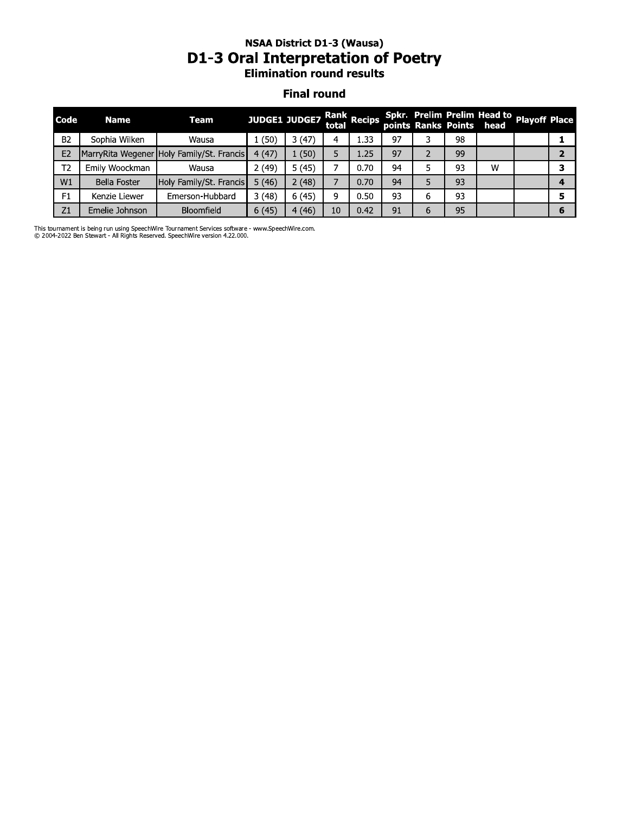#### NSAA DIStrict D1-3 (Wausa) D1-3 Oral Interpretation of Poetry **Elimination round results**

#### **Final round**

|                | <b>NSAA District D1-3 (Wausa)</b><br><b>D1-3 Oral Interpretation of Poetry</b><br><b>Elimination round results</b> |                                           |               |       |       |             |    |                |    |                                                                       |  |              |  |
|----------------|--------------------------------------------------------------------------------------------------------------------|-------------------------------------------|---------------|-------|-------|-------------|----|----------------|----|-----------------------------------------------------------------------|--|--------------|--|
|                | <b>Final round</b>                                                                                                 |                                           |               |       |       |             |    |                |    |                                                                       |  |              |  |
| <b>Code</b>    | <b>Name</b>                                                                                                        | <b>Team</b>                               | JUDGE1 JUDGE7 |       | total | Rank Recips |    |                |    | Spkr. Prelim Prelim Head to Playoff Place<br>points Ranks Points head |  |              |  |
| <b>B2</b>      | Sophia Wilken                                                                                                      | Wausa                                     | 1(50)         | 3(47) | 4     | 1.33        | 97 | 3              | 98 |                                                                       |  | 1            |  |
| E2             |                                                                                                                    | MarryRita Wegener Holy Family/St. Francis | 4(47)         | 1(50) | 5     | 1.25        | 97 | $\overline{2}$ | 99 |                                                                       |  | $\mathbf{2}$ |  |
| T <sub>2</sub> | Emily Woockman                                                                                                     | Wausa                                     | 2(49)         | 5(45) | 7     | 0.70        | 94 | 5.             | 93 | w                                                                     |  | 3            |  |
| W1             | <b>Bella Foster</b>                                                                                                | Holy Family/St. Francis                   | 5(46)         | 2(48) | 7     | 0.70        | 94 | 5.             | 93 |                                                                       |  | 4            |  |
| F1             | Kenzie Liewer                                                                                                      | Emerson-Hubbard                           | 3(48)         | 6(45) | 9     | 0.50        | 93 | 6              | 93 |                                                                       |  | 5            |  |
| Z1             | Emelie Johnson                                                                                                     | Bloomfield                                | 6(45)         | 4(46) | 10    | 0.42        | 91 | 6              | 95 |                                                                       |  | 6            |  |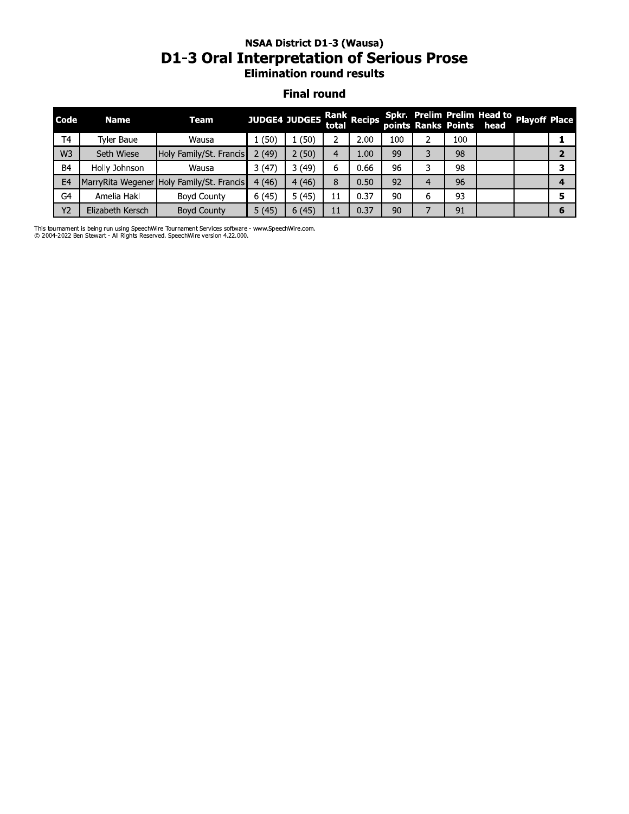### **NSAA District D1-3 (Wausa)** D1-3 Oral Interpretation of Serious Prose

#### **Final round**

| <b>Code</b>    | <b>Name</b>       | Team                                      |       | JUDGE4 JUDGE5 Rank Recips |    |      |     |   |     | Spkr. Prelim Prelim Head to playoff Place<br>points Ranks Points head |                |
|----------------|-------------------|-------------------------------------------|-------|---------------------------|----|------|-----|---|-----|-----------------------------------------------------------------------|----------------|
| T <sub>4</sub> | <b>Tyler Baue</b> | Wausa                                     | 1(50) | (50)                      |    | 2.00 | 100 |   | 100 |                                                                       |                |
| W <sub>3</sub> | Seth Wiese        | Holy Family/St. Francis                   | 2(49) | 2(50)                     | 4  | 1.00 | 99  |   | 98  |                                                                       |                |
| B <sub>4</sub> | Holly Johnson     | Wausa                                     | 3(47) | 3(49)                     | 6  | 0.66 | 96  | 3 | 98  |                                                                       |                |
| E <sub>4</sub> |                   | MarryRita Wegener Holy Family/St. Francis | 4(46) | 4(46)                     | 8  | 0.50 | 92  | 4 | 96  |                                                                       | $\overline{a}$ |
| G <sub>4</sub> | Amelia Hakl       | <b>Boyd County</b>                        | 6(45) | 5(45)                     | 11 | 0.37 | 90  | 6 | 93  |                                                                       |                |
| Y <sub>2</sub> | Elizabeth Kersch  | <b>Boyd County</b>                        | 5(45) | 6(45)                     | 11 | 0.37 | 90  |   | 91  |                                                                       |                |